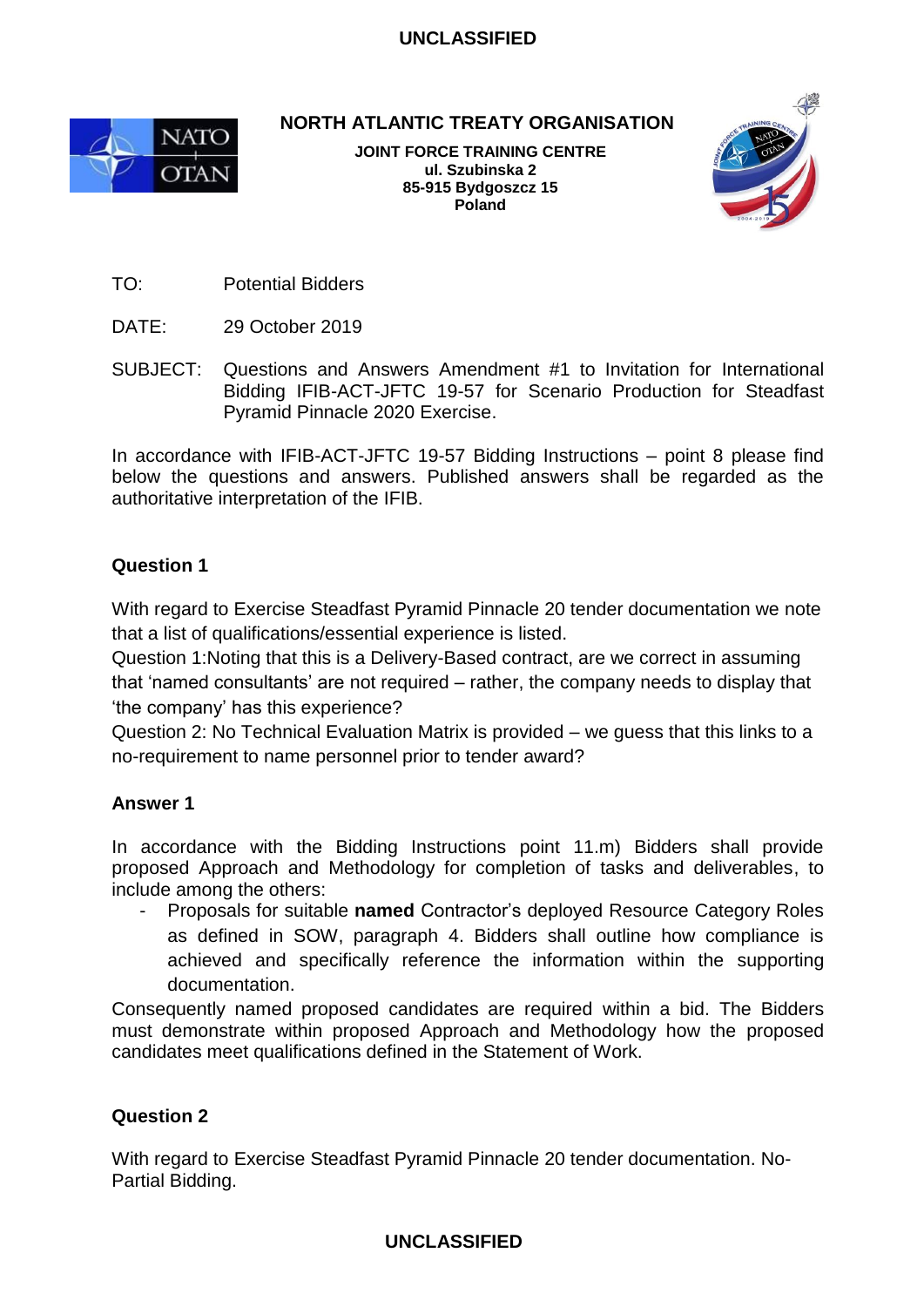

**NORTH ATLANTIC TREATY ORGANISATION**

**JOINT FORCE TRAINING CENTRE ul. Szubinska 2 85-915 Bydgoszcz 15 Poland**



TO: Potential Bidders

- DATE: 29 October 2019
- SUBJECT: Questions and Answers Amendment #1 to Invitation for International Bidding IFIB-ACT-JFTC 19-57 for Scenario Production for Steadfast Pyramid Pinnacle 2020 Exercise.

In accordance with IFIB-ACT-JFTC 19-57 Bidding Instructions – point 8 please find below the questions and answers. Published answers shall be regarded as the authoritative interpretation of the IFIB.

# **Question 1**

With regard to Exercise Steadfast Pyramid Pinnacle 20 tender documentation we note that a list of qualifications/essential experience is listed.

Question 1:Noting that this is a Delivery-Based contract, are we correct in assuming that 'named consultants' are not required – rather, the company needs to display that 'the company' has this experience?

Question 2: No Technical Evaluation Matrix is provided – we guess that this links to a no-requirement to name personnel prior to tender award?

# **Answer 1**

In accordance with the Bidding Instructions point 11.m) Bidders shall provide proposed Approach and Methodology for completion of tasks and deliverables, to include among the others:

- Proposals for suitable **named** Contractor's deployed Resource Category Roles as defined in SOW, paragraph 4. Bidders shall outline how compliance is achieved and specifically reference the information within the supporting documentation.

Consequently named proposed candidates are required within a bid. The Bidders must demonstrate within proposed Approach and Methodology how the proposed candidates meet qualifications defined in the Statement of Work.

# **Question 2**

With regard to Exercise Steadfast Pyramid Pinnacle 20 tender documentation. No-Partial Bidding.

# **UNCLASSIFIED**